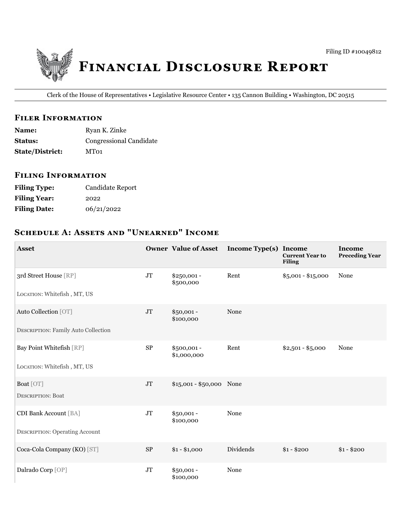

Clerk of the House of Representatives • Legislative Resource Center • 135 Cannon Building • Washington, DC 20515

### **FILER INFORMATION**

| <b>Name:</b>           | Ryan K. Zinke           |
|------------------------|-------------------------|
| <b>Status:</b>         | Congressional Candidate |
| <b>State/District:</b> | MT01                    |

### **FILING INFORMATION**

| <b>Filing Type:</b> | Candidate Report |
|---------------------|------------------|
| <b>Filing Year:</b> | 2022             |
| <b>Filing Date:</b> | 06/21/2022       |

# SCHEDULE A: ASSETS AND "UNEARNED" INCOME

| <b>Asset</b>                               |            | <b>Owner Value of Asset</b> | Income Type(s) Income | <b>Current Year to</b><br><b>Filing</b> | <b>Income</b><br><b>Preceding Year</b> |
|--------------------------------------------|------------|-----------------------------|-----------------------|-----------------------------------------|----------------------------------------|
| 3rd Street House [RP]                      | $\rm JT$   | $$250,001 -$<br>\$500,000   | Rent                  | $$5,001 - $15,000$                      | None                                   |
| LOCATION: Whitefish, MT, US                |            |                             |                       |                                         |                                        |
| Auto Collection [OT]                       | <b>JT</b>  | $$50,001 -$<br>\$100,000    | None                  |                                         |                                        |
| <b>DESCRIPTION: Family Auto Collection</b> |            |                             |                       |                                         |                                        |
| Bay Point Whitefish [RP]                   | ${\rm SP}$ | $$500,001 -$<br>\$1,000,000 | Rent                  | $$2,501 - $5,000$                       | None                                   |
| LOCATION: Whitefish, MT, US                |            |                             |                       |                                         |                                        |
| Boat [OT]                                  | $\rm JT$   | $$15,001 - $50,000$ None    |                       |                                         |                                        |
| <b>DESCRIPTION: Boat</b>                   |            |                             |                       |                                         |                                        |
| <b>CDI Bank Account [BA]</b>               | $\rm JT$   | $$50,001 -$<br>\$100,000    | None                  |                                         |                                        |
| <b>DESCRIPTION: Operating Account</b>      |            |                             |                       |                                         |                                        |
| Coca-Cola Company (KO) [ST]                | <b>SP</b>  | $$1 - $1,000$               | Dividends             | $$1 - $200$                             | $$1 - $200$                            |
| Dalrado Corp [OP]                          | <b>JT</b>  | $$50,001 -$<br>\$100,000    | None                  |                                         |                                        |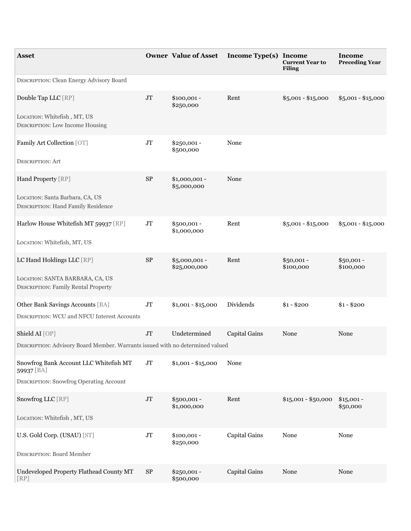| <b>Asset</b>                                                                           |                | <b>Owner Value of Asset</b>   | <b>Income Type(s) Income</b> | <b>Current Year to</b><br>Filing | Income<br><b>Preceding Year</b> |
|----------------------------------------------------------------------------------------|----------------|-------------------------------|------------------------------|----------------------------------|---------------------------------|
| DESCRIPTION: Clean Energy Advisory Board                                               |                |                               |                              |                                  |                                 |
| Double Tap LLC [RP]                                                                    | J <sub>T</sub> | $$100,001 -$<br>\$250,000     | Rent                         | $$5,001 - $15,000$               | $$5,001 - $15,000$              |
| LOCATION: Whitefish, MT, US<br><b>DESCRIPTION:</b> Low Income Housing                  |                |                               |                              |                                  |                                 |
| Family Art Collection [OT]                                                             | $\rm JT$       | $$250,001 -$<br>\$500,000     | None                         |                                  |                                 |
| <b>DESCRIPTION: Art</b>                                                                |                |                               |                              |                                  |                                 |
| Hand Property [RP]                                                                     | <b>SP</b>      | \$1,000,001 -<br>\$5,000,000  | None                         |                                  |                                 |
| LOCATION: Santa Barbara, CA, US<br><b>DESCRIPTION: Hand Family Residence</b>           |                |                               |                              |                                  |                                 |
| Harlow House Whitefish MT 59937 [RP]                                                   | $\rm JT$       | \$500,001 -<br>\$1,000,000    | Rent                         | $$5,001 - $15,000$               | $$5,001 - $15,000$              |
| LOCATION: Whitefish, MT, US                                                            |                |                               |                              |                                  |                                 |
| LC Hand Holdings LLC [RP]                                                              | <b>SP</b>      | \$5,000,001 -<br>\$25,000,000 | Rent                         | $$50,001 -$<br>\$100,000         | $$50,001 -$<br>\$100,000        |
| LOCATION: SANTA BARBARA, CA, US<br><b>DESCRIPTION: Family Rental Property</b>          |                |                               |                              |                                  |                                 |
| Other Bank Savings Accounts [BA]<br><b>DESCRIPTION: WCU and NFCU Interest Accounts</b> | JT             | $$1,001 - $15,000$            | Dividends                    | $$1 - $200$                      | $$1 - $200$                     |
| Shield AI [OP]                                                                         | JT             | Undetermined                  | Capital Gains                | None                             | None                            |
| DESCRIPTION: Advisory Board Member. Warrants issued with no determined valued          |                |                               |                              |                                  |                                 |
| Snowfrog Bank Account LLC Whitefish MT<br>59937 [BA]                                   | J <sub>T</sub> | $$1,001 - $15,000$            | None                         |                                  |                                 |
| <b>DESCRIPTION: Snowfrog Operating Account</b>                                         |                |                               |                              |                                  |                                 |
| Snowfrog LLC [RP]                                                                      | J <sub>T</sub> | \$500,001 -<br>\$1,000,000    | Rent                         | $$15,001 - $50,000$              | $$15,001 -$<br>\$50,000         |
| LOCATION: Whitefish, MT, US                                                            |                |                               |                              |                                  |                                 |
| U.S. Gold Corp. (USAU) [ST]                                                            | $\rm JT$       | $$100,001 -$<br>\$250,000     | Capital Gains                | None                             | None                            |
| <b>DESCRIPTION: Board Member</b>                                                       |                |                               |                              |                                  |                                 |
| Undeveloped Property Flathead County MT<br>[RP]                                        | $\rm SP$       | \$250,001 -<br>\$500,000      | Capital Gains                | None                             | None                            |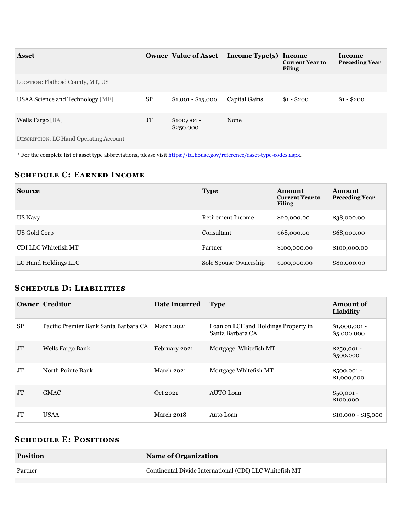| <b>Asset</b>                                  |           | <b>Owner Value of Asset</b> | Income Type(s) Income | <b>Current Year to</b><br><b>Filing</b> | Income<br><b>Preceding Year</b> |
|-----------------------------------------------|-----------|-----------------------------|-----------------------|-----------------------------------------|---------------------------------|
| LOCATION: Flathead County, MT, US             |           |                             |                       |                                         |                                 |
| USAA Science and Technology [MF]              | <b>SP</b> | $$1,001 - $15,000$          | Capital Gains         | $$1 - $200$                             | $$1 - $200$                     |
| Wells Fargo [BA]                              | JT        | $$100,001 -$<br>\$250,000   | None                  |                                         |                                 |
| <b>DESCRIPTION: LC Hand Operating Account</b> |           |                             |                       |                                         |                                 |

\* For the complete list of asset type abbreviations, please visit <https://fd.house.gov/reference/asset-type-codes.aspx>.

## **SCHEDULE C: EARNED INCOME**

| <b>Source</b>        | <b>Type</b>           | Amount<br><b>Current Year to</b><br><b>Filing</b> | Amount<br><b>Preceding Year</b> |
|----------------------|-----------------------|---------------------------------------------------|---------------------------------|
| US Navy              | Retirement Income     | \$20,000.00                                       | \$38,000.00                     |
| US Gold Corp         | Consultant            | \$68,000.00                                       | \$68,000.00                     |
| CDI LLC Whitefish MT | Partner               | \$100,000.00                                      | \$100,000.00                    |
| LC Hand Holdings LLC | Sole Spouse Ownership | \$100,000.00                                      | \$80,000.00                     |

## **SCHEDULE D: LIABILITIES**

|                | <b>Owner Creditor</b>                            | Date Incurred | <b>Type</b>                                             | <b>Amount of</b><br>Liability |
|----------------|--------------------------------------------------|---------------|---------------------------------------------------------|-------------------------------|
| <b>SP</b>      | Pacific Premier Bank Santa Barbara CA March 2021 |               | Loan on LCHand Holdings Property in<br>Santa Barbara CA | $$1,000,001$ -<br>\$5,000,000 |
| J <sub>T</sub> | Wells Fargo Bank                                 | February 2021 | Mortgage. Whitefish MT                                  | $$250,001 -$<br>\$500,000     |
| JT             | North Pointe Bank                                | March 2021    | Mortgage Whitefish MT                                   | $$500,001 -$<br>\$1,000,000   |
| J <sub>T</sub> | <b>GMAC</b>                                      | Oct 2021      | AUTO Loan                                               | $$50,001 -$<br>\$100,000      |
| JT             | <b>USAA</b>                                      | March 2018    | Auto Loan                                               | $$10,000 - $15,000$           |

## **SCHEDULE E: POSITIONS**

| <b>Position</b> | <b>Name of Organization</b>                             |
|-----------------|---------------------------------------------------------|
| Partner         | Continental Divide International (CDI) LLC Whitefish MT |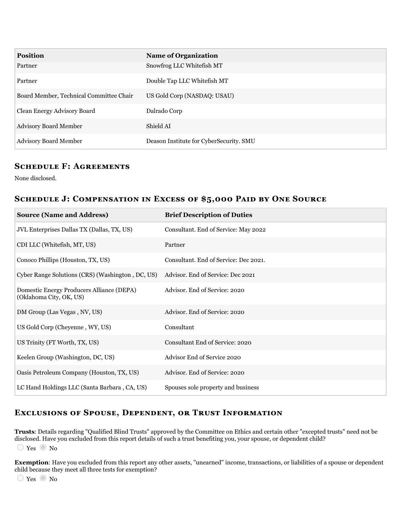| <b>Position</b>                         | <b>Name of Organization</b>             |
|-----------------------------------------|-----------------------------------------|
| Partner                                 | Snowfrog LLC Whitefish MT               |
| Partner                                 | Double Tap LLC Whitefish MT             |
| Board Member, Technical Committee Chair | US Gold Corp (NASDAQ: USAU)             |
| Clean Energy Advisory Board             | Dalrado Corp                            |
| <b>Advisory Board Member</b>            | Shield AI                               |
| <b>Advisory Board Member</b>            | Deason Institute for CyberSecurity. SMU |

### **SCHEDULE F: AGREEMENTS**

None disclosed.

### SCHEDULE J: COMPENSATION IN EXCESS OF \$5,000 PAID BY ONE SOURCE

| <b>Source (Name and Address)</b>                                     | <b>Brief Description of Duties</b>     |
|----------------------------------------------------------------------|----------------------------------------|
| JVL Enterprises Dallas TX (Dallas, TX, US)                           | Consultant. End of Service: May 2022   |
| CDI LLC (Whitefish, MT, US)                                          | Partner                                |
| Conoco Phillips (Houston, TX, US)                                    | Consultant. End of Service: Dec 2021.  |
| Cyber Range Solutions (CRS) (Washington, DC, US)                     | Advisor. End of Service: Dec 2021      |
| Domestic Energy Producers Alliance (DEPA)<br>(Oklahoma City, OK, US) | Advisor, End of Service: 2020          |
| DM Group (Las Vegas, NV, US)                                         | Advisor. End of Service: 2020          |
| US Gold Corp (Cheyenne, WY, US)                                      | Consultant                             |
| US Trinity (FT Worth, TX, US)                                        | <b>Consultant End of Service: 2020</b> |
| Keelen Group (Washington, DC, US)                                    | Advisor End of Service 2020            |
| Oasis Petroleum Company (Houston, TX, US)                            | Advisor. End of Service: 2020          |
| LC Hand Holdings LLC (Santa Barbara, CA, US)                         | Spouses sole property and business     |

### EXCLUSIONS OF SPOUSE, DEPENDENT, OR TRUST INFORMATION

**Trusts**: Details regarding "Qualified Blind Trusts" approved by the Committee on Ethics and certain other "excepted trusts" need not be disclosed. Have you excluded from this report details of such a trust benefiting you, your spouse, or dependent child?  $\bigcirc$  Yes  $\bigcirc$  No

**Exemption**: Have you excluded from this report any other assets, "unearned" income, transactions, or liabilities of a spouse or dependent child because they meet all three tests for exemption?

 $\bigcirc$  Yes  $\bigcirc$  No